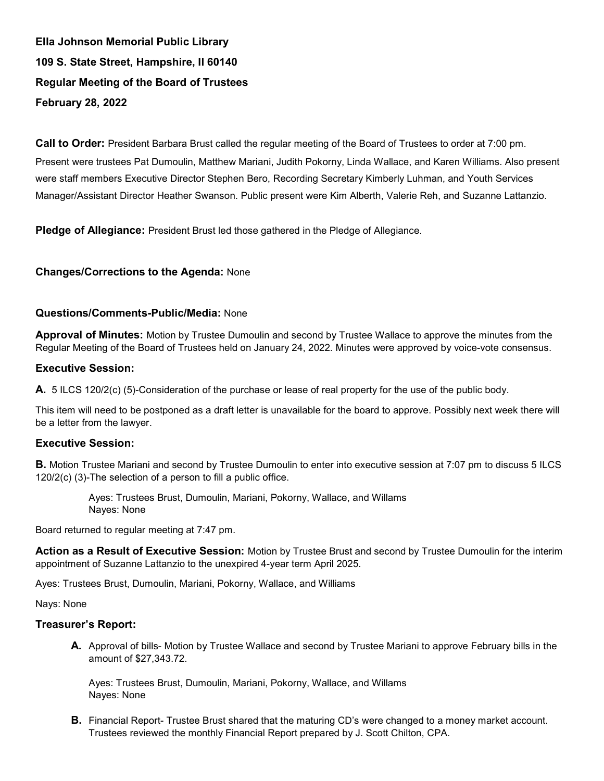Ella Johnson Memorial Public Library 109 S. State Street, Hampshire, Il 60140 Regular Meeting of the Board of Trustees February 28, 2022

Call to Order: President Barbara Brust called the regular meeting of the Board of Trustees to order at 7:00 pm. Present were trustees Pat Dumoulin, Matthew Mariani, Judith Pokorny, Linda Wallace, and Karen Williams. Also present were staff members Executive Director Stephen Bero, Recording Secretary Kimberly Luhman, and Youth Services Manager/Assistant Director Heather Swanson. Public present were Kim Alberth, Valerie Reh, and Suzanne Lattanzio.

Pledge of Allegiance: President Brust led those gathered in the Pledge of Allegiance.

# Changes/Corrections to the Agenda: None

### Questions/Comments-Public/Media: None

Approval of Minutes: Motion by Trustee Dumoulin and second by Trustee Wallace to approve the minutes from the Regular Meeting of the Board of Trustees held on January 24, 2022. Minutes were approved by voice-vote consensus.

### Executive Session:

A. 5 ILCS 120/2(c) (5)-Consideration of the purchase or lease of real property for the use of the public body.

This item will need to be postponed as a draft letter is unavailable for the board to approve. Possibly next week there will be a letter from the lawyer.

#### Executive Session:

B. Motion Trustee Mariani and second by Trustee Dumoulin to enter into executive session at 7:07 pm to discuss 5 ILCS 120/2(c) (3)-The selection of a person to fill a public office.

> Ayes: Trustees Brust, Dumoulin, Mariani, Pokorny, Wallace, and Willams Nayes: None

Board returned to regular meeting at 7:47 pm.

Action as a Result of Executive Session: Motion by Trustee Brust and second by Trustee Dumoulin for the interim appointment of Suzanne Lattanzio to the unexpired 4-year term April 2025.

Ayes: Trustees Brust, Dumoulin, Mariani, Pokorny, Wallace, and Williams

Nays: None

#### Treasurer's Report:

A. Approval of bills- Motion by Trustee Wallace and second by Trustee Mariani to approve February bills in the amount of \$27,343.72.

Ayes: Trustees Brust, Dumoulin, Mariani, Pokorny, Wallace, and Willams Nayes: None

**B.** Financial Report- Trustee Brust shared that the maturing CD's were changed to a money market account. Trustees reviewed the monthly Financial Report prepared by J. Scott Chilton, CPA.